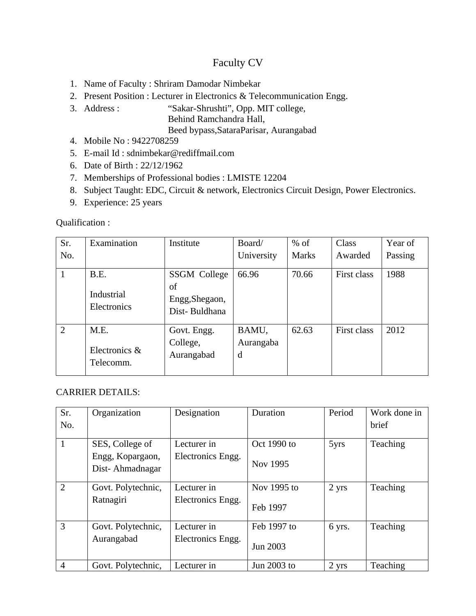# Faculty CV

- 1. Name of Faculty : Shriram Damodar Nimbekar
- 2. Present Position : Lecturer in Electronics & Telecommunication Engg.
- 3. Address : "Sakar-Shrushti", Opp. MIT college,

Behind Ramchandra Hall,

Beed bypass,SataraParisar, Aurangabad

- 4. Mobile No : 9422708259
- 5. E-mail Id : sdnimbekar@rediffmail.com
- 6. Date of Birth : 22/12/1962
- 7. Memberships of Professional bodies : LMISTE 12204
- 8. Subject Taught: EDC, Circuit & network, Electronics Circuit Design, Power Electronics.
- 9. Experience: 25 years

Qualification :

| Sr.            | Examination                        | Institute                                                    | Board/                  | $%$ of | Class       | Year of |
|----------------|------------------------------------|--------------------------------------------------------------|-------------------------|--------|-------------|---------|
| No.            |                                    |                                                              | University              | Marks  | Awarded     | Passing |
|                | B.E.<br>Industrial<br>Electronics  | <b>SSGM College</b><br>of<br>Engg, Shegaon,<br>Dist-Buldhana | 66.96                   | 70.66  | First class | 1988    |
| $\overline{2}$ | M.E.<br>Electronics &<br>Telecomm. | Govt. Engg.<br>College,<br>Aurangabad                        | BAMU,<br>Aurangaba<br>d | 62.63  | First class | 2012    |

#### CARRIER DETAILS:

| Sr.            | Organization                        | Designation       | Duration    | Period | Work done in    |
|----------------|-------------------------------------|-------------------|-------------|--------|-----------------|
| No.            |                                     |                   |             |        | brief           |
| 1              | SES, College of                     | Lecturer in       | Oct 1990 to | 5yrs   | Teaching        |
|                | Engg, Kopargaon,<br>Dist-Ahmadnagar | Electronics Engg. | Nov 1995    |        |                 |
| $\overline{2}$ | Govt. Polytechnic,                  | Lecturer in       | Nov 1995 to | 2 yrs  | Teaching        |
|                | Ratnagiri                           | Electronics Engg. | Feb 1997    |        |                 |
| 3              | Govt. Polytechnic,                  | Lecturer in       | Feb 1997 to | 6 yrs. | Teaching        |
|                | Aurangabad                          | Electronics Engg. | Jun 2003    |        |                 |
| 4              | Govt. Polytechnic,                  | Lecturer in       | Jun 2003 to | 2 yrs  | <b>Teaching</b> |